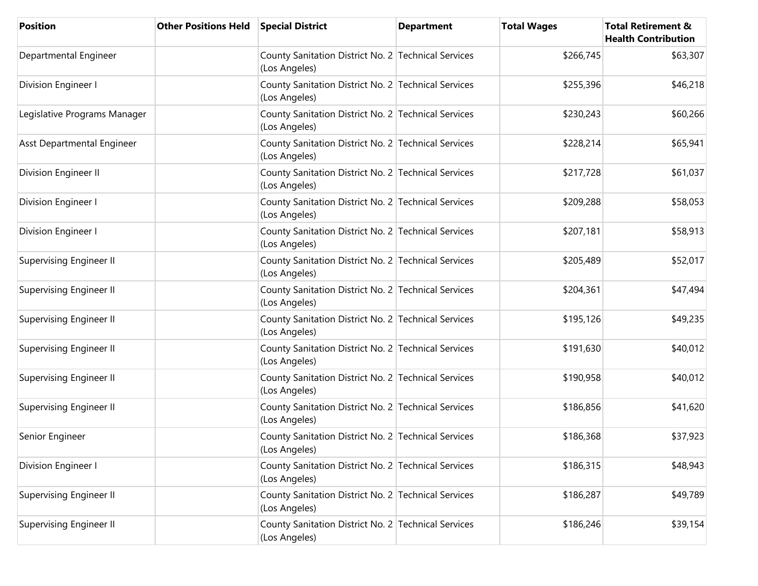| <b>Position</b>                | <b>Other Positions Held</b> | <b>Special District</b>                                              | <b>Department</b> | <b>Total Wages</b> | <b>Total Retirement &amp;</b><br><b>Health Contribution</b> |
|--------------------------------|-----------------------------|----------------------------------------------------------------------|-------------------|--------------------|-------------------------------------------------------------|
| Departmental Engineer          |                             | County Sanitation District No. 2 Technical Services<br>(Los Angeles) |                   | \$266,745          | \$63,307                                                    |
| Division Engineer I            |                             | County Sanitation District No. 2 Technical Services<br>(Los Angeles) |                   | \$255,396          | \$46,218                                                    |
| Legislative Programs Manager   |                             | County Sanitation District No. 2 Technical Services<br>(Los Angeles) |                   | \$230,243          | \$60,266                                                    |
| Asst Departmental Engineer     |                             | County Sanitation District No. 2 Technical Services<br>(Los Angeles) |                   | \$228,214          | \$65,941                                                    |
| Division Engineer II           |                             | County Sanitation District No. 2 Technical Services<br>(Los Angeles) |                   | \$217,728          | \$61,037                                                    |
| Division Engineer I            |                             | County Sanitation District No. 2 Technical Services<br>(Los Angeles) |                   | \$209,288          | \$58,053                                                    |
| Division Engineer I            |                             | County Sanitation District No. 2 Technical Services<br>(Los Angeles) |                   | \$207,181          | \$58,913                                                    |
| <b>Supervising Engineer II</b> |                             | County Sanitation District No. 2 Technical Services<br>(Los Angeles) |                   | \$205,489          | \$52,017                                                    |
| <b>Supervising Engineer II</b> |                             | County Sanitation District No. 2 Technical Services<br>(Los Angeles) |                   | \$204,361          | \$47,494                                                    |
| <b>Supervising Engineer II</b> |                             | County Sanitation District No. 2 Technical Services<br>(Los Angeles) |                   | \$195,126          | \$49,235                                                    |
| Supervising Engineer II        |                             | County Sanitation District No. 2 Technical Services<br>(Los Angeles) |                   | \$191,630          | \$40,012                                                    |
| <b>Supervising Engineer II</b> |                             | County Sanitation District No. 2 Technical Services<br>(Los Angeles) |                   | \$190,958          | \$40,012                                                    |
| <b>Supervising Engineer II</b> |                             | County Sanitation District No. 2 Technical Services<br>(Los Angeles) |                   | \$186,856          | \$41,620                                                    |
| Senior Engineer                |                             | County Sanitation District No. 2 Technical Services<br>(Los Angeles) |                   | \$186,368          | \$37,923                                                    |
| Division Engineer I            |                             | County Sanitation District No. 2 Technical Services<br>(Los Angeles) |                   | \$186,315          | \$48,943                                                    |
| <b>Supervising Engineer II</b> |                             | County Sanitation District No. 2 Technical Services<br>(Los Angeles) |                   | \$186,287          | \$49,789                                                    |
| <b>Supervising Engineer II</b> |                             | County Sanitation District No. 2 Technical Services<br>(Los Angeles) |                   | \$186,246          | \$39,154                                                    |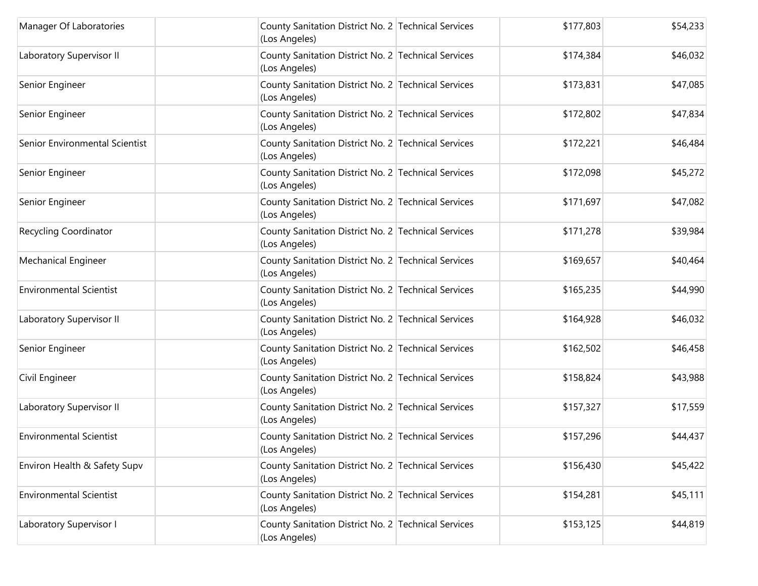| Manager Of Laboratories        | County Sanitation District No. 2 Technical Services<br>(Los Angeles) | \$177,803 | \$54,233 |
|--------------------------------|----------------------------------------------------------------------|-----------|----------|
| Laboratory Supervisor II       | County Sanitation District No. 2 Technical Services<br>(Los Angeles) | \$174,384 | \$46,032 |
| Senior Engineer                | County Sanitation District No. 2 Technical Services<br>(Los Angeles) | \$173,831 | \$47,085 |
| Senior Engineer                | County Sanitation District No. 2 Technical Services<br>(Los Angeles) | \$172,802 | \$47,834 |
| Senior Environmental Scientist | County Sanitation District No. 2 Technical Services<br>(Los Angeles) | \$172,221 | \$46,484 |
| Senior Engineer                | County Sanitation District No. 2 Technical Services<br>(Los Angeles) | \$172,098 | \$45,272 |
| Senior Engineer                | County Sanitation District No. 2 Technical Services<br>(Los Angeles) | \$171,697 | \$47,082 |
| Recycling Coordinator          | County Sanitation District No. 2 Technical Services<br>(Los Angeles) | \$171,278 | \$39,984 |
| <b>Mechanical Engineer</b>     | County Sanitation District No. 2 Technical Services<br>(Los Angeles) | \$169,657 | \$40,464 |
| <b>Environmental Scientist</b> | County Sanitation District No. 2 Technical Services<br>(Los Angeles) | \$165,235 | \$44,990 |
| Laboratory Supervisor II       | County Sanitation District No. 2 Technical Services<br>(Los Angeles) | \$164,928 | \$46,032 |
| Senior Engineer                | County Sanitation District No. 2 Technical Services<br>(Los Angeles) | \$162,502 | \$46,458 |
| Civil Engineer                 | County Sanitation District No. 2 Technical Services<br>(Los Angeles) | \$158,824 | \$43,988 |
| Laboratory Supervisor II       | County Sanitation District No. 2 Technical Services<br>(Los Angeles) | \$157,327 | \$17,559 |
| <b>Environmental Scientist</b> | County Sanitation District No. 2 Technical Services<br>(Los Angeles) | \$157,296 | \$44,437 |
| Environ Health & Safety Supv   | County Sanitation District No. 2 Technical Services<br>(Los Angeles) | \$156,430 | \$45,422 |
| <b>Environmental Scientist</b> | County Sanitation District No. 2 Technical Services<br>(Los Angeles) | \$154,281 | \$45,111 |
| Laboratory Supervisor I        | County Sanitation District No. 2 Technical Services<br>(Los Angeles) | \$153,125 | \$44,819 |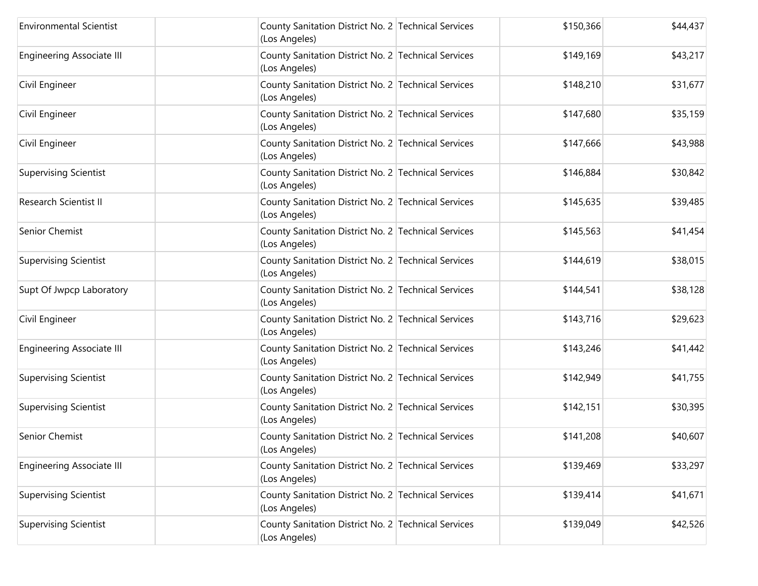| <b>Environmental Scientist</b>   | County Sanitation District No. 2 Technical Services<br>(Los Angeles) | \$150,366 | \$44,437 |
|----------------------------------|----------------------------------------------------------------------|-----------|----------|
| <b>Engineering Associate III</b> | County Sanitation District No. 2 Technical Services<br>(Los Angeles) | \$149,169 | \$43,217 |
| Civil Engineer                   | County Sanitation District No. 2 Technical Services<br>(Los Angeles) | \$148,210 | \$31,677 |
| Civil Engineer                   | County Sanitation District No. 2 Technical Services<br>(Los Angeles) | \$147,680 | \$35,159 |
| Civil Engineer                   | County Sanitation District No. 2 Technical Services<br>(Los Angeles) | \$147,666 | \$43,988 |
| <b>Supervising Scientist</b>     | County Sanitation District No. 2 Technical Services<br>(Los Angeles) | \$146,884 | \$30,842 |
| Research Scientist II            | County Sanitation District No. 2 Technical Services<br>(Los Angeles) | \$145,635 | \$39,485 |
| Senior Chemist                   | County Sanitation District No. 2 Technical Services<br>(Los Angeles) | \$145,563 | \$41,454 |
| <b>Supervising Scientist</b>     | County Sanitation District No. 2 Technical Services<br>(Los Angeles) | \$144,619 | \$38,015 |
| Supt Of Jwpcp Laboratory         | County Sanitation District No. 2 Technical Services<br>(Los Angeles) | \$144,541 | \$38,128 |
| Civil Engineer                   | County Sanitation District No. 2 Technical Services<br>(Los Angeles) | \$143,716 | \$29,623 |
| <b>Engineering Associate III</b> | County Sanitation District No. 2 Technical Services<br>(Los Angeles) | \$143,246 | \$41,442 |
| <b>Supervising Scientist</b>     | County Sanitation District No. 2 Technical Services<br>(Los Angeles) | \$142,949 | \$41,755 |
| <b>Supervising Scientist</b>     | County Sanitation District No. 2 Technical Services<br>(Los Angeles) | \$142,151 | \$30,395 |
| Senior Chemist                   | County Sanitation District No. 2 Technical Services<br>(Los Angeles) | \$141,208 | \$40,607 |
| <b>Engineering Associate III</b> | County Sanitation District No. 2 Technical Services<br>(Los Angeles) | \$139,469 | \$33,297 |
| <b>Supervising Scientist</b>     | County Sanitation District No. 2 Technical Services<br>(Los Angeles) | \$139,414 | \$41,671 |
| <b>Supervising Scientist</b>     | County Sanitation District No. 2 Technical Services<br>(Los Angeles) | \$139,049 | \$42,526 |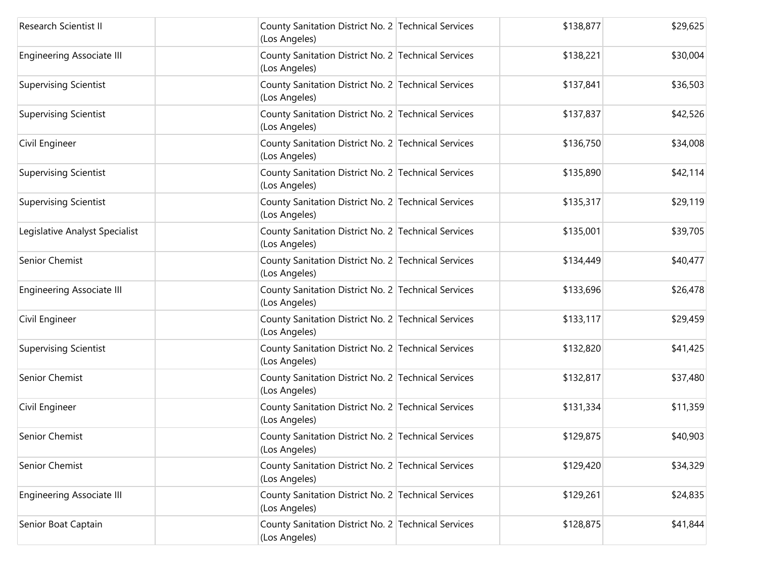| Research Scientist II            | County Sanitation District No. 2 Technical Services<br>(Los Angeles) | \$138,877 | \$29,625 |
|----------------------------------|----------------------------------------------------------------------|-----------|----------|
| <b>Engineering Associate III</b> | County Sanitation District No. 2 Technical Services<br>(Los Angeles) | \$138,221 | \$30,004 |
| <b>Supervising Scientist</b>     | County Sanitation District No. 2 Technical Services<br>(Los Angeles) | \$137,841 | \$36,503 |
| <b>Supervising Scientist</b>     | County Sanitation District No. 2 Technical Services<br>(Los Angeles) | \$137,837 | \$42,526 |
| Civil Engineer                   | County Sanitation District No. 2 Technical Services<br>(Los Angeles) | \$136,750 | \$34,008 |
| <b>Supervising Scientist</b>     | County Sanitation District No. 2 Technical Services<br>(Los Angeles) | \$135,890 | \$42,114 |
| <b>Supervising Scientist</b>     | County Sanitation District No. 2 Technical Services<br>(Los Angeles) | \$135,317 | \$29,119 |
| Legislative Analyst Specialist   | County Sanitation District No. 2 Technical Services<br>(Los Angeles) | \$135,001 | \$39,705 |
| Senior Chemist                   | County Sanitation District No. 2 Technical Services<br>(Los Angeles) | \$134,449 | \$40,477 |
| <b>Engineering Associate III</b> | County Sanitation District No. 2 Technical Services<br>(Los Angeles) | \$133,696 | \$26,478 |
| Civil Engineer                   | County Sanitation District No. 2 Technical Services<br>(Los Angeles) | \$133,117 | \$29,459 |
| <b>Supervising Scientist</b>     | County Sanitation District No. 2 Technical Services<br>(Los Angeles) | \$132,820 | \$41,425 |
| Senior Chemist                   | County Sanitation District No. 2 Technical Services<br>(Los Angeles) | \$132,817 | \$37,480 |
| Civil Engineer                   | County Sanitation District No. 2 Technical Services<br>(Los Angeles) | \$131,334 | \$11,359 |
| Senior Chemist                   | County Sanitation District No. 2 Technical Services<br>(Los Angeles) | \$129,875 | \$40,903 |
| Senior Chemist                   | County Sanitation District No. 2 Technical Services<br>(Los Angeles) | \$129,420 | \$34,329 |
| <b>Engineering Associate III</b> | County Sanitation District No. 2 Technical Services<br>(Los Angeles) | \$129,261 | \$24,835 |
| Senior Boat Captain              | County Sanitation District No. 2 Technical Services<br>(Los Angeles) | \$128,875 | \$41,844 |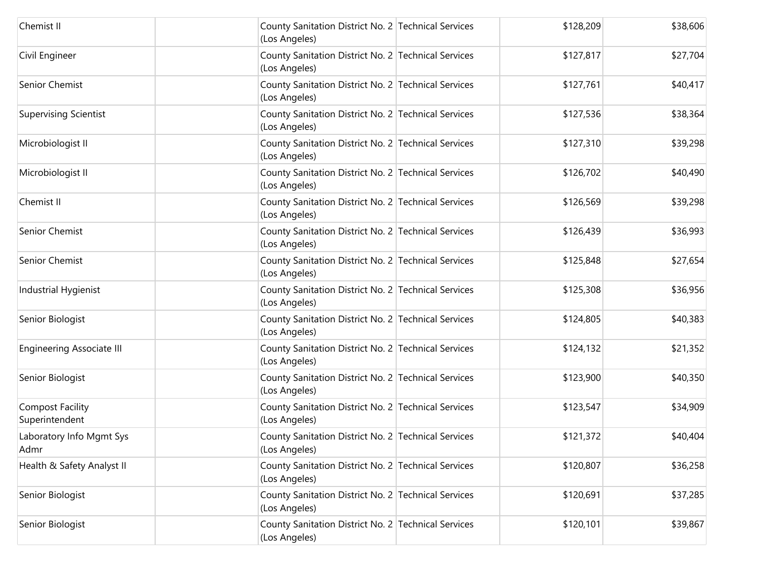| Chemist II                                | County Sanitation District No. 2 Technical Services<br>(Los Angeles) | \$128,209 | \$38,606 |
|-------------------------------------------|----------------------------------------------------------------------|-----------|----------|
| Civil Engineer                            | County Sanitation District No. 2 Technical Services<br>(Los Angeles) | \$127,817 | \$27,704 |
| Senior Chemist                            | County Sanitation District No. 2 Technical Services<br>(Los Angeles) | \$127,761 | \$40,417 |
| <b>Supervising Scientist</b>              | County Sanitation District No. 2 Technical Services<br>(Los Angeles) | \$127,536 | \$38,364 |
| Microbiologist II                         | County Sanitation District No. 2 Technical Services<br>(Los Angeles) | \$127,310 | \$39,298 |
| Microbiologist II                         | County Sanitation District No. 2 Technical Services<br>(Los Angeles) | \$126,702 | \$40,490 |
| Chemist II                                | County Sanitation District No. 2 Technical Services<br>(Los Angeles) | \$126,569 | \$39,298 |
| Senior Chemist                            | County Sanitation District No. 2 Technical Services<br>(Los Angeles) | \$126,439 | \$36,993 |
| Senior Chemist                            | County Sanitation District No. 2 Technical Services<br>(Los Angeles) | \$125,848 | \$27,654 |
| Industrial Hygienist                      | County Sanitation District No. 2 Technical Services<br>(Los Angeles) | \$125,308 | \$36,956 |
| Senior Biologist                          | County Sanitation District No. 2 Technical Services<br>(Los Angeles) | \$124,805 | \$40,383 |
| <b>Engineering Associate III</b>          | County Sanitation District No. 2 Technical Services<br>(Los Angeles) | \$124,132 | \$21,352 |
| Senior Biologist                          | County Sanitation District No. 2 Technical Services<br>(Los Angeles) | \$123,900 | \$40,350 |
| <b>Compost Facility</b><br>Superintendent | County Sanitation District No. 2 Technical Services<br>(Los Angeles) | \$123,547 | \$34,909 |
| Laboratory Info Mgmt Sys<br>Admr          | County Sanitation District No. 2 Technical Services<br>(Los Angeles) | \$121,372 | \$40,404 |
| Health & Safety Analyst II                | County Sanitation District No. 2 Technical Services<br>(Los Angeles) | \$120,807 | \$36,258 |
| Senior Biologist                          | County Sanitation District No. 2 Technical Services<br>(Los Angeles) | \$120,691 | \$37,285 |
| Senior Biologist                          | County Sanitation District No. 2 Technical Services<br>(Los Angeles) | \$120,101 | \$39,867 |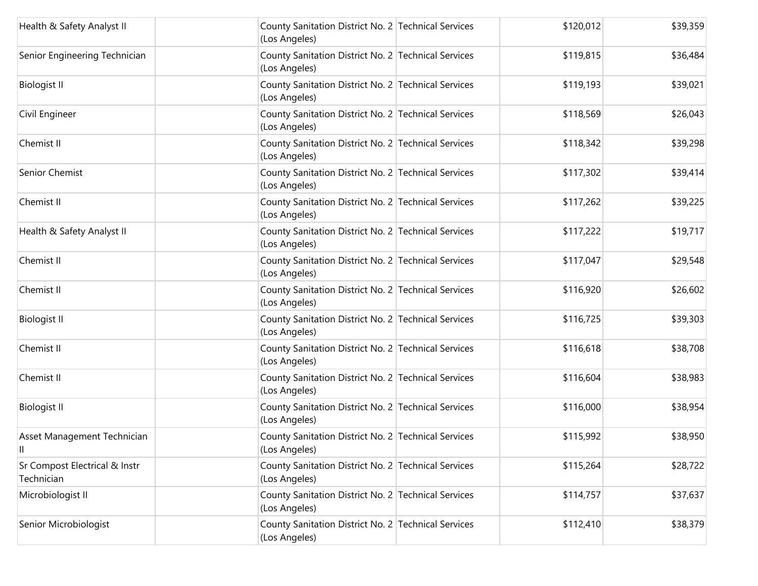| Health & Safety Analyst II                  | County Sanitation District No. 2 Technical Services<br>(Los Angeles) | \$120,012 | \$39,359 |
|---------------------------------------------|----------------------------------------------------------------------|-----------|----------|
| Senior Engineering Technician               | County Sanitation District No. 2 Technical Services<br>(Los Angeles) | \$119,815 | \$36,484 |
| <b>Biologist II</b>                         | County Sanitation District No. 2 Technical Services<br>(Los Angeles) | \$119,193 | \$39,021 |
| Civil Engineer                              | County Sanitation District No. 2 Technical Services<br>(Los Angeles) | \$118,569 | \$26,043 |
| Chemist II                                  | County Sanitation District No. 2 Technical Services<br>(Los Angeles) | \$118,342 | \$39,298 |
| Senior Chemist                              | County Sanitation District No. 2 Technical Services<br>(Los Angeles) | \$117,302 | \$39,414 |
| Chemist II                                  | County Sanitation District No. 2 Technical Services<br>(Los Angeles) | \$117,262 | \$39,225 |
| Health & Safety Analyst II                  | County Sanitation District No. 2 Technical Services<br>(Los Angeles) | \$117,222 | \$19,717 |
| Chemist II                                  | County Sanitation District No. 2 Technical Services<br>(Los Angeles) | \$117,047 | \$29,548 |
| Chemist II                                  | County Sanitation District No. 2 Technical Services<br>(Los Angeles) | \$116,920 | \$26,602 |
| <b>Biologist II</b>                         | County Sanitation District No. 2 Technical Services<br>(Los Angeles) | \$116,725 | \$39,303 |
| Chemist II                                  | County Sanitation District No. 2 Technical Services<br>(Los Angeles) | \$116,618 | \$38,708 |
| Chemist II                                  | County Sanitation District No. 2 Technical Services<br>(Los Angeles) | \$116,604 | \$38,983 |
| <b>Biologist II</b>                         | County Sanitation District No. 2 Technical Services<br>(Los Angeles) | \$116,000 | \$38,954 |
| Asset Management Technician<br>Ш            | County Sanitation District No. 2 Technical Services<br>(Los Angeles) | \$115,992 | \$38,950 |
| Sr Compost Electrical & Instr<br>Technician | County Sanitation District No. 2 Technical Services<br>(Los Angeles) | \$115,264 | \$28,722 |
| Microbiologist II                           | County Sanitation District No. 2 Technical Services<br>(Los Angeles) | \$114,757 | \$37,637 |
| Senior Microbiologist                       | County Sanitation District No. 2 Technical Services<br>(Los Angeles) | \$112,410 | \$38,379 |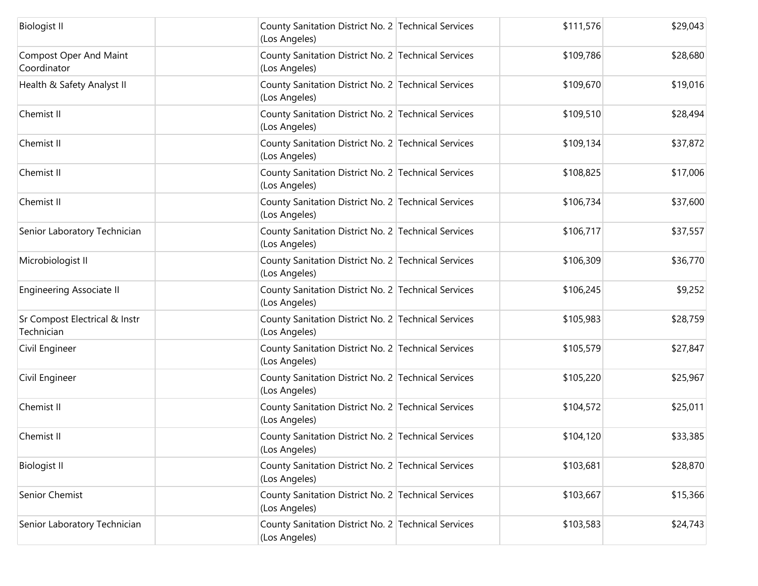| <b>Biologist II</b>                          | County Sanitation District No. 2 Technical Services<br>(Los Angeles) | \$111,576 | \$29,043 |
|----------------------------------------------|----------------------------------------------------------------------|-----------|----------|
| <b>Compost Oper And Maint</b><br>Coordinator | County Sanitation District No. 2 Technical Services<br>(Los Angeles) | \$109,786 | \$28,680 |
| Health & Safety Analyst II                   | County Sanitation District No. 2 Technical Services<br>(Los Angeles) | \$109,670 | \$19,016 |
| Chemist II                                   | County Sanitation District No. 2 Technical Services<br>(Los Angeles) | \$109,510 | \$28,494 |
| Chemist II                                   | County Sanitation District No. 2 Technical Services<br>(Los Angeles) | \$109,134 | \$37,872 |
| Chemist II                                   | County Sanitation District No. 2 Technical Services<br>(Los Angeles) | \$108,825 | \$17,006 |
| Chemist II                                   | County Sanitation District No. 2 Technical Services<br>(Los Angeles) | \$106,734 | \$37,600 |
| Senior Laboratory Technician                 | County Sanitation District No. 2 Technical Services<br>(Los Angeles) | \$106,717 | \$37,557 |
| Microbiologist II                            | County Sanitation District No. 2 Technical Services<br>(Los Angeles) | \$106,309 | \$36,770 |
| <b>Engineering Associate II</b>              | County Sanitation District No. 2 Technical Services<br>(Los Angeles) | \$106,245 | \$9,252  |
| Sr Compost Electrical & Instr<br>Technician  | County Sanitation District No. 2 Technical Services<br>(Los Angeles) | \$105,983 | \$28,759 |
| Civil Engineer                               | County Sanitation District No. 2 Technical Services<br>(Los Angeles) | \$105,579 | \$27,847 |
| Civil Engineer                               | County Sanitation District No. 2 Technical Services<br>(Los Angeles) | \$105,220 | \$25,967 |
| Chemist II                                   | County Sanitation District No. 2 Technical Services<br>(Los Angeles) | \$104,572 | \$25,011 |
| Chemist II                                   | County Sanitation District No. 2 Technical Services<br>(Los Angeles) | \$104,120 | \$33,385 |
| <b>Biologist II</b>                          | County Sanitation District No. 2 Technical Services<br>(Los Angeles) | \$103,681 | \$28,870 |
| Senior Chemist                               | County Sanitation District No. 2 Technical Services<br>(Los Angeles) | \$103,667 | \$15,366 |
| Senior Laboratory Technician                 | County Sanitation District No. 2 Technical Services<br>(Los Angeles) | \$103,583 | \$24,743 |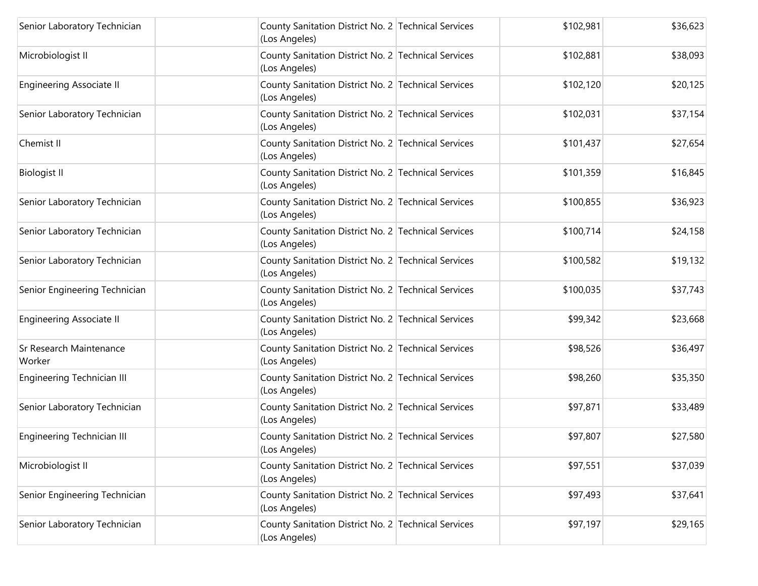| Senior Laboratory Technician      | County Sanitation District No. 2 Technical Services<br>(Los Angeles) | \$102,981 | \$36,623 |
|-----------------------------------|----------------------------------------------------------------------|-----------|----------|
| Microbiologist II                 | County Sanitation District No. 2 Technical Services<br>(Los Angeles) | \$102,881 | \$38,093 |
| <b>Engineering Associate II</b>   | County Sanitation District No. 2 Technical Services<br>(Los Angeles) | \$102,120 | \$20,125 |
| Senior Laboratory Technician      | County Sanitation District No. 2 Technical Services<br>(Los Angeles) | \$102,031 | \$37,154 |
| Chemist II                        | County Sanitation District No. 2 Technical Services<br>(Los Angeles) | \$101,437 | \$27,654 |
| <b>Biologist II</b>               | County Sanitation District No. 2 Technical Services<br>(Los Angeles) | \$101,359 | \$16,845 |
| Senior Laboratory Technician      | County Sanitation District No. 2 Technical Services<br>(Los Angeles) | \$100,855 | \$36,923 |
| Senior Laboratory Technician      | County Sanitation District No. 2 Technical Services<br>(Los Angeles) | \$100,714 | \$24,158 |
| Senior Laboratory Technician      | County Sanitation District No. 2 Technical Services<br>(Los Angeles) | \$100,582 | \$19,132 |
| Senior Engineering Technician     | County Sanitation District No. 2 Technical Services<br>(Los Angeles) | \$100,035 | \$37,743 |
| <b>Engineering Associate II</b>   | County Sanitation District No. 2 Technical Services<br>(Los Angeles) | \$99,342  | \$23,668 |
| Sr Research Maintenance<br>Worker | County Sanitation District No. 2 Technical Services<br>(Los Angeles) | \$98,526  | \$36,497 |
| Engineering Technician III        | County Sanitation District No. 2 Technical Services<br>(Los Angeles) | \$98,260  | \$35,350 |
| Senior Laboratory Technician      | County Sanitation District No. 2 Technical Services<br>(Los Angeles) | \$97,871  | \$33,489 |
| Engineering Technician III        | County Sanitation District No. 2 Technical Services<br>(Los Angeles) | \$97,807  | \$27,580 |
| Microbiologist II                 | County Sanitation District No. 2 Technical Services<br>(Los Angeles) | \$97,551  | \$37,039 |
| Senior Engineering Technician     | County Sanitation District No. 2 Technical Services<br>(Los Angeles) | \$97,493  | \$37,641 |
| Senior Laboratory Technician      | County Sanitation District No. 2 Technical Services<br>(Los Angeles) | \$97,197  | \$29,165 |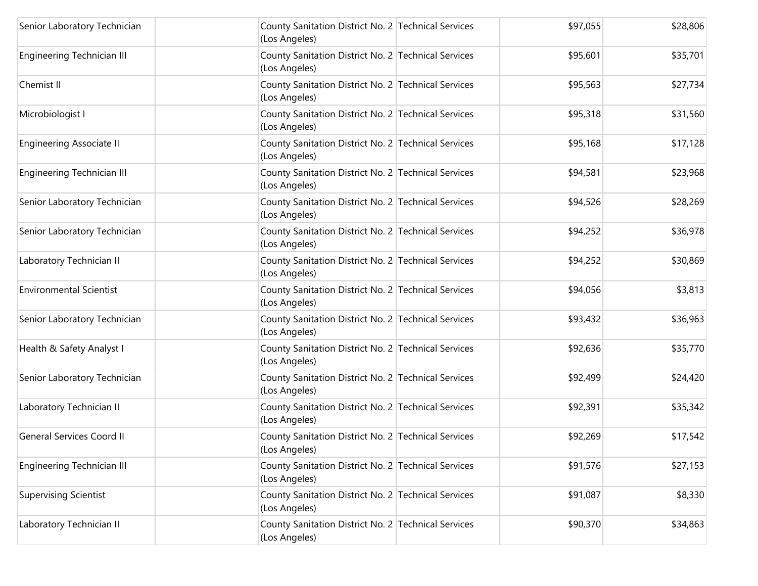| Senior Laboratory Technician     | County Sanitation District No. 2 Technical Services<br>(Los Angeles) | \$97,055 | \$28,806 |
|----------------------------------|----------------------------------------------------------------------|----------|----------|
| Engineering Technician III       | County Sanitation District No. 2 Technical Services<br>(Los Angeles) | \$95,601 | \$35,701 |
| Chemist II                       | County Sanitation District No. 2 Technical Services<br>(Los Angeles) | \$95,563 | \$27,734 |
| Microbiologist I                 | County Sanitation District No. 2 Technical Services<br>(Los Angeles) | \$95,318 | \$31,560 |
| <b>Engineering Associate II</b>  | County Sanitation District No. 2 Technical Services<br>(Los Angeles) | \$95,168 | \$17,128 |
| Engineering Technician III       | County Sanitation District No. 2 Technical Services<br>(Los Angeles) | \$94,581 | \$23,968 |
| Senior Laboratory Technician     | County Sanitation District No. 2 Technical Services<br>(Los Angeles) | \$94,526 | \$28,269 |
| Senior Laboratory Technician     | County Sanitation District No. 2 Technical Services<br>(Los Angeles) | \$94,252 | \$36,978 |
| Laboratory Technician II         | County Sanitation District No. 2 Technical Services<br>(Los Angeles) | \$94,252 | \$30,869 |
| <b>Environmental Scientist</b>   | County Sanitation District No. 2 Technical Services<br>(Los Angeles) | \$94,056 | \$3,813  |
| Senior Laboratory Technician     | County Sanitation District No. 2 Technical Services<br>(Los Angeles) | \$93,432 | \$36,963 |
| Health & Safety Analyst I        | County Sanitation District No. 2 Technical Services<br>(Los Angeles) | \$92,636 | \$35,770 |
| Senior Laboratory Technician     | County Sanitation District No. 2 Technical Services<br>(Los Angeles) | \$92,499 | \$24,420 |
| Laboratory Technician II         | County Sanitation District No. 2 Technical Services<br>(Los Angeles) | \$92,391 | \$35,342 |
| <b>General Services Coord II</b> | County Sanitation District No. 2 Technical Services<br>(Los Angeles) | \$92,269 | \$17,542 |
| Engineering Technician III       | County Sanitation District No. 2 Technical Services<br>(Los Angeles) | \$91,576 | \$27,153 |
| <b>Supervising Scientist</b>     | County Sanitation District No. 2 Technical Services<br>(Los Angeles) | \$91,087 | \$8,330  |
| Laboratory Technician II         | County Sanitation District No. 2 Technical Services<br>(Los Angeles) | \$90,370 | \$34,863 |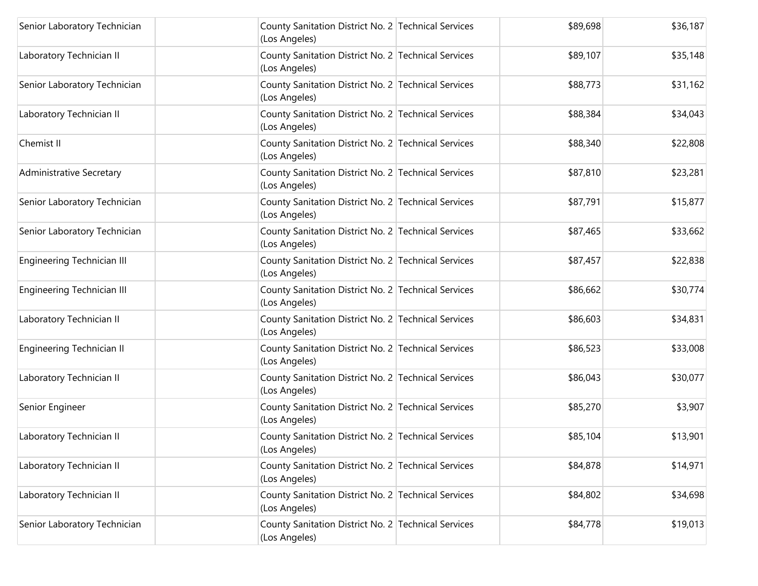| Senior Laboratory Technician      | County Sanitation District No. 2 Technical Services<br>(Los Angeles) | \$89,698 | \$36,187 |
|-----------------------------------|----------------------------------------------------------------------|----------|----------|
| Laboratory Technician II          | County Sanitation District No. 2 Technical Services<br>(Los Angeles) | \$89,107 | \$35,148 |
| Senior Laboratory Technician      | County Sanitation District No. 2 Technical Services<br>(Los Angeles) | \$88,773 | \$31,162 |
| Laboratory Technician II          | County Sanitation District No. 2 Technical Services<br>(Los Angeles) | \$88,384 | \$34,043 |
| Chemist II                        | County Sanitation District No. 2 Technical Services<br>(Los Angeles) | \$88,340 | \$22,808 |
| <b>Administrative Secretary</b>   | County Sanitation District No. 2 Technical Services<br>(Los Angeles) | \$87,810 | \$23,281 |
| Senior Laboratory Technician      | County Sanitation District No. 2 Technical Services<br>(Los Angeles) | \$87,791 | \$15,877 |
| Senior Laboratory Technician      | County Sanitation District No. 2 Technical Services<br>(Los Angeles) | \$87,465 | \$33,662 |
| Engineering Technician III        | County Sanitation District No. 2 Technical Services<br>(Los Angeles) | \$87,457 | \$22,838 |
| <b>Engineering Technician III</b> | County Sanitation District No. 2 Technical Services<br>(Los Angeles) | \$86,662 | \$30,774 |
| Laboratory Technician II          | County Sanitation District No. 2 Technical Services<br>(Los Angeles) | \$86,603 | \$34,831 |
| Engineering Technician II         | County Sanitation District No. 2 Technical Services<br>(Los Angeles) | \$86,523 | \$33,008 |
| Laboratory Technician II          | County Sanitation District No. 2 Technical Services<br>(Los Angeles) | \$86,043 | \$30,077 |
| Senior Engineer                   | County Sanitation District No. 2 Technical Services<br>(Los Angeles) | \$85,270 | \$3,907  |
| Laboratory Technician II          | County Sanitation District No. 2 Technical Services<br>(Los Angeles) | \$85,104 | \$13,901 |
| Laboratory Technician II          | County Sanitation District No. 2 Technical Services<br>(Los Angeles) | \$84,878 | \$14,971 |
| Laboratory Technician II          | County Sanitation District No. 2 Technical Services<br>(Los Angeles) | \$84,802 | \$34,698 |
| Senior Laboratory Technician      | County Sanitation District No. 2 Technical Services<br>(Los Angeles) | \$84,778 | \$19,013 |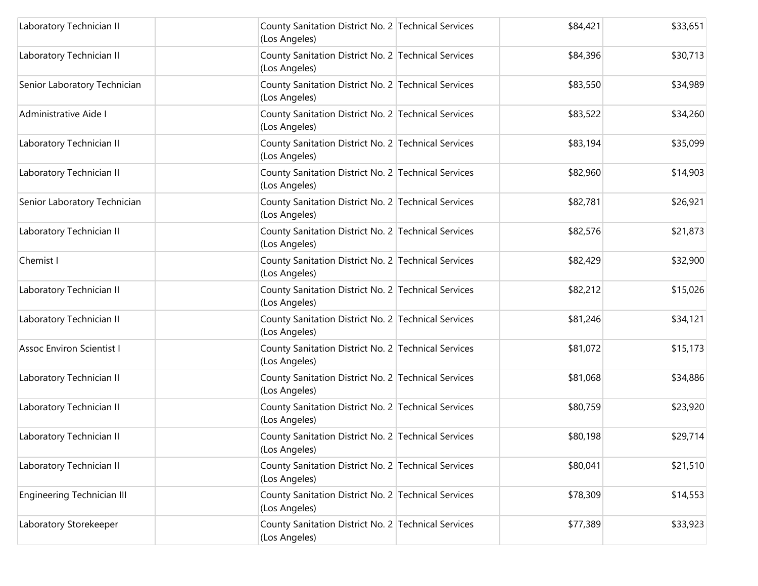| Laboratory Technician II          | County Sanitation District No. 2 Technical Services<br>(Los Angeles) | \$84,421 | \$33,651 |
|-----------------------------------|----------------------------------------------------------------------|----------|----------|
| Laboratory Technician II          | County Sanitation District No. 2 Technical Services<br>(Los Angeles) | \$84,396 | \$30,713 |
| Senior Laboratory Technician      | County Sanitation District No. 2 Technical Services<br>(Los Angeles) | \$83,550 | \$34,989 |
| Administrative Aide I             | County Sanitation District No. 2 Technical Services<br>(Los Angeles) | \$83,522 | \$34,260 |
| Laboratory Technician II          | County Sanitation District No. 2 Technical Services<br>(Los Angeles) | \$83,194 | \$35,099 |
| Laboratory Technician II          | County Sanitation District No. 2 Technical Services<br>(Los Angeles) | \$82,960 | \$14,903 |
| Senior Laboratory Technician      | County Sanitation District No. 2 Technical Services<br>(Los Angeles) | \$82,781 | \$26,921 |
| Laboratory Technician II          | County Sanitation District No. 2 Technical Services<br>(Los Angeles) | \$82,576 | \$21,873 |
| Chemist I                         | County Sanitation District No. 2 Technical Services<br>(Los Angeles) | \$82,429 | \$32,900 |
| Laboratory Technician II          | County Sanitation District No. 2 Technical Services<br>(Los Angeles) | \$82,212 | \$15,026 |
| Laboratory Technician II          | County Sanitation District No. 2 Technical Services<br>(Los Angeles) | \$81,246 | \$34,121 |
| <b>Assoc Environ Scientist I</b>  | County Sanitation District No. 2 Technical Services<br>(Los Angeles) | \$81,072 | \$15,173 |
| Laboratory Technician II          | County Sanitation District No. 2 Technical Services<br>(Los Angeles) | \$81,068 | \$34,886 |
| Laboratory Technician II          | County Sanitation District No. 2 Technical Services<br>(Los Angeles) | \$80,759 | \$23,920 |
| Laboratory Technician II          | County Sanitation District No. 2 Technical Services<br>(Los Angeles) | \$80,198 | \$29,714 |
| Laboratory Technician II          | County Sanitation District No. 2 Technical Services<br>(Los Angeles) | \$80,041 | \$21,510 |
| <b>Engineering Technician III</b> | County Sanitation District No. 2 Technical Services<br>(Los Angeles) | \$78,309 | \$14,553 |
| Laboratory Storekeeper            | County Sanitation District No. 2 Technical Services<br>(Los Angeles) | \$77,389 | \$33,923 |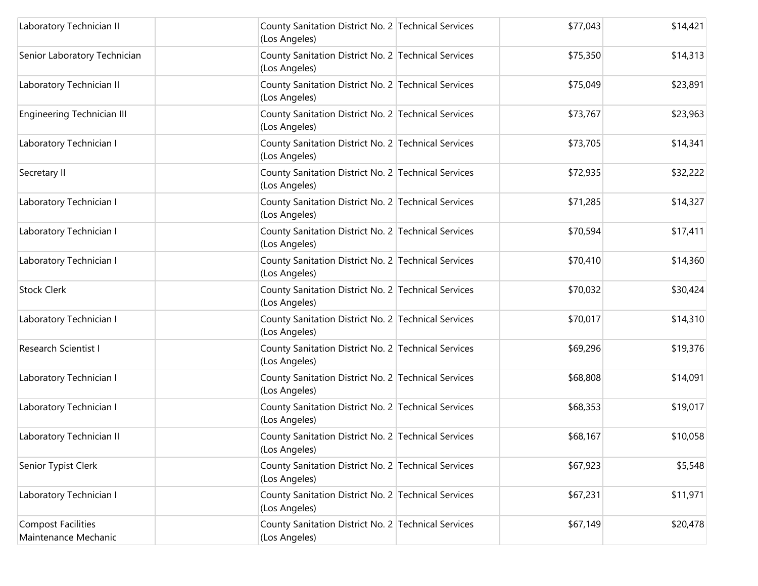| Laboratory Technician II                   | County Sanitation District No. 2 Technical Services<br>(Los Angeles) | \$77,043 | \$14,421 |
|--------------------------------------------|----------------------------------------------------------------------|----------|----------|
| Senior Laboratory Technician               | County Sanitation District No. 2 Technical Services<br>(Los Angeles) | \$75,350 | \$14,313 |
| Laboratory Technician II                   | County Sanitation District No. 2 Technical Services<br>(Los Angeles) | \$75,049 | \$23,891 |
| Engineering Technician III                 | County Sanitation District No. 2 Technical Services<br>(Los Angeles) | \$73,767 | \$23,963 |
| Laboratory Technician I                    | County Sanitation District No. 2 Technical Services<br>(Los Angeles) | \$73,705 | \$14,341 |
| Secretary II                               | County Sanitation District No. 2 Technical Services<br>(Los Angeles) | \$72,935 | \$32,222 |
| Laboratory Technician I                    | County Sanitation District No. 2 Technical Services<br>(Los Angeles) | \$71,285 | \$14,327 |
| Laboratory Technician I                    | County Sanitation District No. 2 Technical Services<br>(Los Angeles) | \$70,594 | \$17,411 |
| Laboratory Technician I                    | County Sanitation District No. 2 Technical Services<br>(Los Angeles) | \$70,410 | \$14,360 |
| <b>Stock Clerk</b>                         | County Sanitation District No. 2 Technical Services<br>(Los Angeles) | \$70,032 | \$30,424 |
| Laboratory Technician I                    | County Sanitation District No. 2 Technical Services<br>(Los Angeles) | \$70,017 | \$14,310 |
| Research Scientist I                       | County Sanitation District No. 2 Technical Services<br>(Los Angeles) | \$69,296 | \$19,376 |
| Laboratory Technician I                    | County Sanitation District No. 2 Technical Services<br>(Los Angeles) | \$68,808 | \$14,091 |
| Laboratory Technician I                    | County Sanitation District No. 2 Technical Services<br>(Los Angeles) | \$68,353 | \$19,017 |
| Laboratory Technician II                   | County Sanitation District No. 2 Technical Services<br>(Los Angeles) | \$68,167 | \$10,058 |
| Senior Typist Clerk                        | County Sanitation District No. 2 Technical Services<br>(Los Angeles) | \$67,923 | \$5,548  |
| Laboratory Technician I                    | County Sanitation District No. 2 Technical Services<br>(Los Angeles) | \$67,231 | \$11,971 |
| Compost Facilities<br>Maintenance Mechanic | County Sanitation District No. 2 Technical Services<br>(Los Angeles) | \$67,149 | \$20,478 |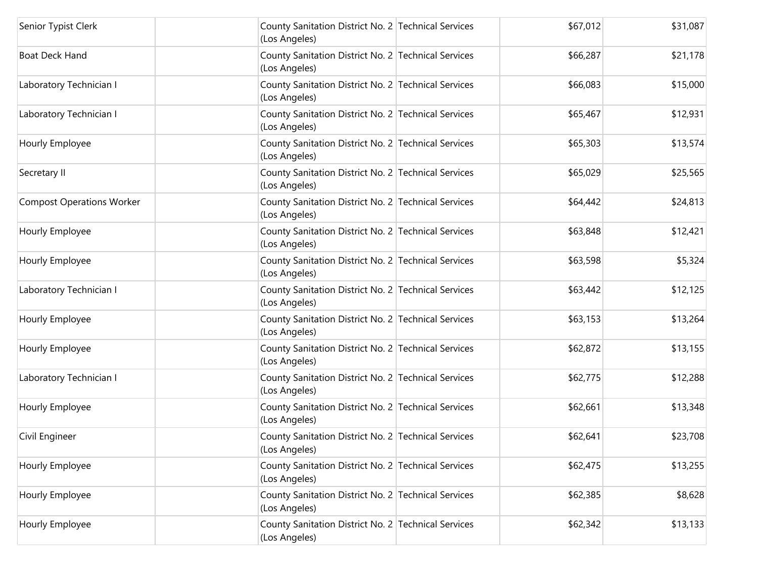| Senior Typist Clerk              | County Sanitation District No. 2 Technical Services<br>(Los Angeles) | \$67,012 | \$31,087 |
|----------------------------------|----------------------------------------------------------------------|----------|----------|
| <b>Boat Deck Hand</b>            | County Sanitation District No. 2 Technical Services<br>(Los Angeles) | \$66,287 | \$21,178 |
| Laboratory Technician I          | County Sanitation District No. 2 Technical Services<br>(Los Angeles) | \$66,083 | \$15,000 |
| Laboratory Technician I          | County Sanitation District No. 2 Technical Services<br>(Los Angeles) | \$65,467 | \$12,931 |
| Hourly Employee                  | County Sanitation District No. 2 Technical Services<br>(Los Angeles) | \$65,303 | \$13,574 |
| Secretary II                     | County Sanitation District No. 2 Technical Services<br>(Los Angeles) | \$65,029 | \$25,565 |
| <b>Compost Operations Worker</b> | County Sanitation District No. 2 Technical Services<br>(Los Angeles) | \$64,442 | \$24,813 |
| Hourly Employee                  | County Sanitation District No. 2 Technical Services<br>(Los Angeles) | \$63,848 | \$12,421 |
| Hourly Employee                  | County Sanitation District No. 2 Technical Services<br>(Los Angeles) | \$63,598 | \$5,324  |
| Laboratory Technician I          | County Sanitation District No. 2 Technical Services<br>(Los Angeles) | \$63,442 | \$12,125 |
| Hourly Employee                  | County Sanitation District No. 2 Technical Services<br>(Los Angeles) | \$63,153 | \$13,264 |
| Hourly Employee                  | County Sanitation District No. 2 Technical Services<br>(Los Angeles) | \$62,872 | \$13,155 |
| Laboratory Technician I          | County Sanitation District No. 2 Technical Services<br>(Los Angeles) | \$62,775 | \$12,288 |
| Hourly Employee                  | County Sanitation District No. 2 Technical Services<br>(Los Angeles) | \$62,661 | \$13,348 |
| Civil Engineer                   | County Sanitation District No. 2 Technical Services<br>(Los Angeles) | \$62,641 | \$23,708 |
| Hourly Employee                  | County Sanitation District No. 2 Technical Services<br>(Los Angeles) | \$62,475 | \$13,255 |
| Hourly Employee                  | County Sanitation District No. 2 Technical Services<br>(Los Angeles) | \$62,385 | \$8,628  |
| Hourly Employee                  | County Sanitation District No. 2 Technical Services<br>(Los Angeles) | \$62,342 | \$13,133 |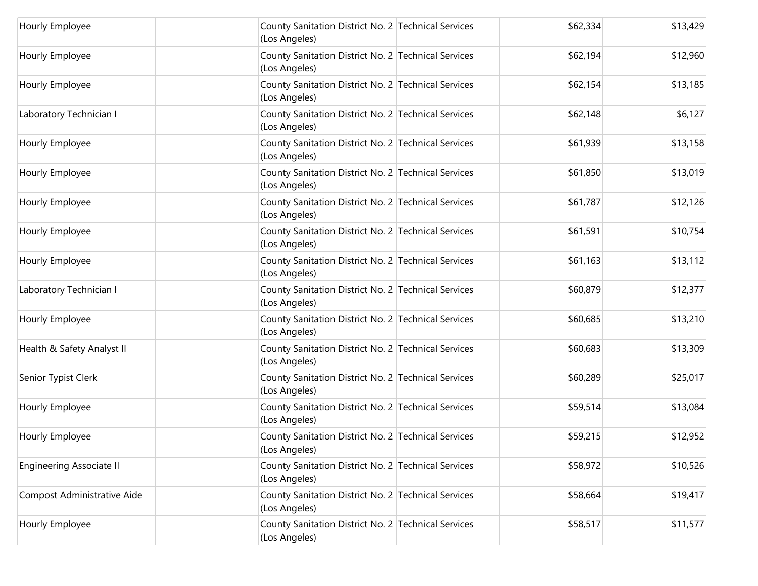| Hourly Employee             | County Sanitation District No. 2 Technical Services<br>(Los Angeles) | \$62,334 | \$13,429 |
|-----------------------------|----------------------------------------------------------------------|----------|----------|
| Hourly Employee             | County Sanitation District No. 2 Technical Services<br>(Los Angeles) | \$62,194 | \$12,960 |
| Hourly Employee             | County Sanitation District No. 2 Technical Services<br>(Los Angeles) | \$62,154 | \$13,185 |
| Laboratory Technician I     | County Sanitation District No. 2 Technical Services<br>(Los Angeles) | \$62,148 | \$6,127  |
| Hourly Employee             | County Sanitation District No. 2 Technical Services<br>(Los Angeles) | \$61,939 | \$13,158 |
| Hourly Employee             | County Sanitation District No. 2 Technical Services<br>(Los Angeles) | \$61,850 | \$13,019 |
| Hourly Employee             | County Sanitation District No. 2 Technical Services<br>(Los Angeles) | \$61,787 | \$12,126 |
| Hourly Employee             | County Sanitation District No. 2 Technical Services<br>(Los Angeles) | \$61,591 | \$10,754 |
| Hourly Employee             | County Sanitation District No. 2 Technical Services<br>(Los Angeles) | \$61,163 | \$13,112 |
| Laboratory Technician I     | County Sanitation District No. 2 Technical Services<br>(Los Angeles) | \$60,879 | \$12,377 |
| Hourly Employee             | County Sanitation District No. 2 Technical Services<br>(Los Angeles) | \$60,685 | \$13,210 |
| Health & Safety Analyst II  | County Sanitation District No. 2 Technical Services<br>(Los Angeles) | \$60,683 | \$13,309 |
| Senior Typist Clerk         | County Sanitation District No. 2 Technical Services<br>(Los Angeles) | \$60,289 | \$25,017 |
| Hourly Employee             | County Sanitation District No. 2 Technical Services<br>(Los Angeles) | \$59,514 | \$13,084 |
| Hourly Employee             | County Sanitation District No. 2 Technical Services<br>(Los Angeles) | \$59,215 | \$12,952 |
| Engineering Associate II    | County Sanitation District No. 2 Technical Services<br>(Los Angeles) | \$58,972 | \$10,526 |
| Compost Administrative Aide | County Sanitation District No. 2 Technical Services<br>(Los Angeles) | \$58,664 | \$19,417 |
| Hourly Employee             | County Sanitation District No. 2 Technical Services<br>(Los Angeles) | \$58,517 | \$11,577 |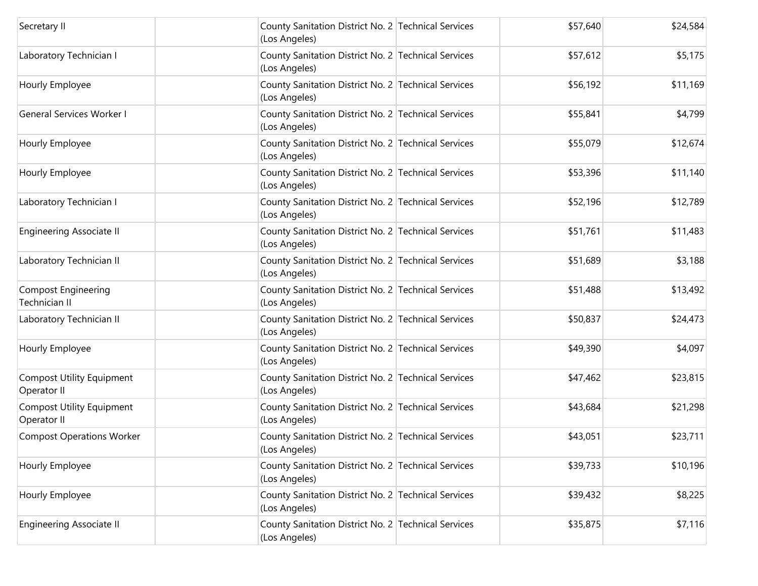| Secretary II                                    | County Sanitation District No. 2 Technical Services<br>(Los Angeles) | \$57,640 | \$24,584 |
|-------------------------------------------------|----------------------------------------------------------------------|----------|----------|
| Laboratory Technician I                         | County Sanitation District No. 2 Technical Services<br>(Los Angeles) | \$57,612 | \$5,175  |
| Hourly Employee                                 | County Sanitation District No. 2 Technical Services<br>(Los Angeles) | \$56,192 | \$11,169 |
| <b>General Services Worker I</b>                | County Sanitation District No. 2 Technical Services<br>(Los Angeles) | \$55,841 | \$4,799  |
| Hourly Employee                                 | County Sanitation District No. 2 Technical Services<br>(Los Angeles) | \$55,079 | \$12,674 |
| Hourly Employee                                 | County Sanitation District No. 2 Technical Services<br>(Los Angeles) | \$53,396 | \$11,140 |
| Laboratory Technician I                         | County Sanitation District No. 2 Technical Services<br>(Los Angeles) | \$52,196 | \$12,789 |
| <b>Engineering Associate II</b>                 | County Sanitation District No. 2 Technical Services<br>(Los Angeles) | \$51,761 | \$11,483 |
| Laboratory Technician II                        | County Sanitation District No. 2 Technical Services<br>(Los Angeles) | \$51,689 | \$3,188  |
| Compost Engineering<br>Technician II            | County Sanitation District No. 2 Technical Services<br>(Los Angeles) | \$51,488 | \$13,492 |
| Laboratory Technician II                        | County Sanitation District No. 2 Technical Services<br>(Los Angeles) | \$50,837 | \$24,473 |
| Hourly Employee                                 | County Sanitation District No. 2 Technical Services<br>(Los Angeles) | \$49,390 | \$4,097  |
| <b>Compost Utility Equipment</b><br>Operator II | County Sanitation District No. 2 Technical Services<br>(Los Angeles) | \$47,462 | \$23,815 |
| <b>Compost Utility Equipment</b><br>Operator II | County Sanitation District No. 2 Technical Services<br>(Los Angeles) | \$43,684 | \$21,298 |
| <b>Compost Operations Worker</b>                | County Sanitation District No. 2 Technical Services<br>(Los Angeles) | \$43,051 | \$23,711 |
| Hourly Employee                                 | County Sanitation District No. 2 Technical Services<br>(Los Angeles) | \$39,733 | \$10,196 |
| Hourly Employee                                 | County Sanitation District No. 2 Technical Services<br>(Los Angeles) | \$39,432 | \$8,225  |
| <b>Engineering Associate II</b>                 | County Sanitation District No. 2 Technical Services<br>(Los Angeles) | \$35,875 | \$7,116  |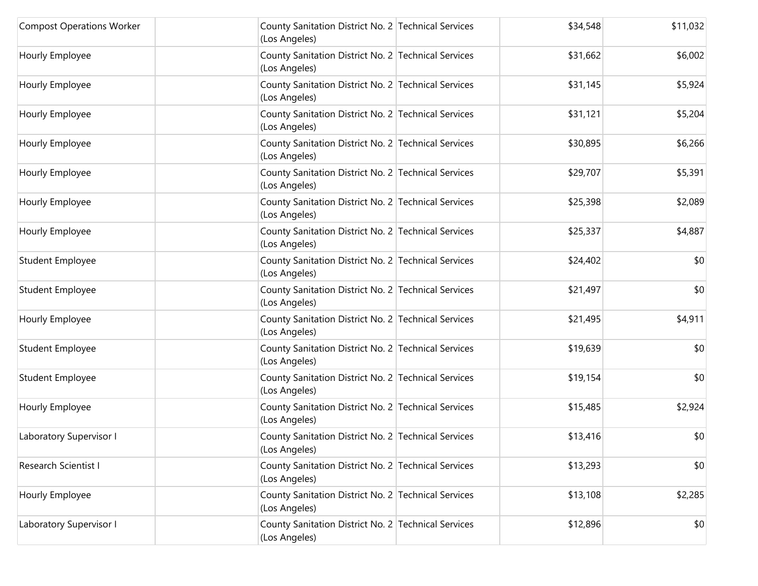| <b>Compost Operations Worker</b> | County Sanitation District No. 2 Technical Services<br>(Los Angeles) | \$34,548 | \$11,032 |
|----------------------------------|----------------------------------------------------------------------|----------|----------|
| Hourly Employee                  | County Sanitation District No. 2 Technical Services<br>(Los Angeles) | \$31,662 | \$6,002  |
| Hourly Employee                  | County Sanitation District No. 2 Technical Services<br>(Los Angeles) | \$31,145 | \$5,924  |
| Hourly Employee                  | County Sanitation District No. 2 Technical Services<br>(Los Angeles) | \$31,121 | \$5,204  |
| Hourly Employee                  | County Sanitation District No. 2 Technical Services<br>(Los Angeles) | \$30,895 | \$6,266  |
| Hourly Employee                  | County Sanitation District No. 2 Technical Services<br>(Los Angeles) | \$29,707 | \$5,391  |
| Hourly Employee                  | County Sanitation District No. 2 Technical Services<br>(Los Angeles) | \$25,398 | \$2,089  |
| Hourly Employee                  | County Sanitation District No. 2 Technical Services<br>(Los Angeles) | \$25,337 | \$4,887  |
| Student Employee                 | County Sanitation District No. 2 Technical Services<br>(Los Angeles) | \$24,402 | \$0      |
| <b>Student Employee</b>          | County Sanitation District No. 2 Technical Services<br>(Los Angeles) | \$21,497 | \$0      |
| Hourly Employee                  | County Sanitation District No. 2 Technical Services<br>(Los Angeles) | \$21,495 | \$4,911  |
| <b>Student Employee</b>          | County Sanitation District No. 2 Technical Services<br>(Los Angeles) | \$19,639 | \$0      |
| Student Employee                 | County Sanitation District No. 2 Technical Services<br>(Los Angeles) | \$19,154 | \$0      |
| Hourly Employee                  | County Sanitation District No. 2 Technical Services<br>(Los Angeles) | \$15,485 | \$2,924  |
| Laboratory Supervisor I          | County Sanitation District No. 2 Technical Services<br>(Los Angeles) | \$13,416 | \$0      |
| Research Scientist I             | County Sanitation District No. 2 Technical Services<br>(Los Angeles) | \$13,293 | \$0      |
| Hourly Employee                  | County Sanitation District No. 2 Technical Services<br>(Los Angeles) | \$13,108 | \$2,285  |
| Laboratory Supervisor I          | County Sanitation District No. 2 Technical Services<br>(Los Angeles) | \$12,896 | \$0      |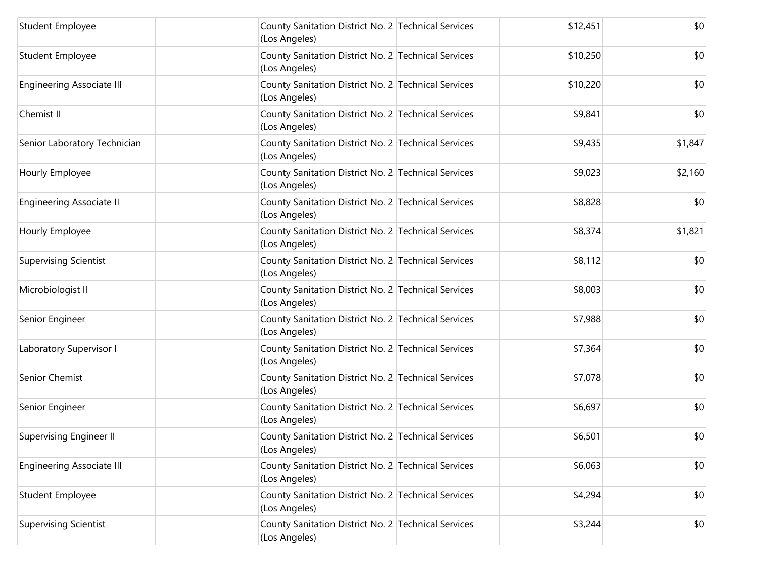| <b>Student Employee</b>          | County Sanitation District No. 2 Technical Services<br>(Los Angeles) | \$12,451 | \$0     |
|----------------------------------|----------------------------------------------------------------------|----------|---------|
| Student Employee                 | County Sanitation District No. 2 Technical Services<br>(Los Angeles) | \$10,250 | \$0     |
| <b>Engineering Associate III</b> | County Sanitation District No. 2 Technical Services<br>(Los Angeles) | \$10,220 | \$0     |
| Chemist II                       | County Sanitation District No. 2 Technical Services<br>(Los Angeles) | \$9,841  | \$0     |
| Senior Laboratory Technician     | County Sanitation District No. 2 Technical Services<br>(Los Angeles) | \$9,435  | \$1,847 |
| Hourly Employee                  | County Sanitation District No. 2 Technical Services<br>(Los Angeles) | \$9,023  | \$2,160 |
| <b>Engineering Associate II</b>  | County Sanitation District No. 2 Technical Services<br>(Los Angeles) | \$8,828  | \$0     |
| Hourly Employee                  | County Sanitation District No. 2 Technical Services<br>(Los Angeles) | \$8,374  | \$1,821 |
| <b>Supervising Scientist</b>     | County Sanitation District No. 2 Technical Services<br>(Los Angeles) | \$8,112  | \$0     |
| Microbiologist II                | County Sanitation District No. 2 Technical Services<br>(Los Angeles) | \$8,003  | \$0     |
| Senior Engineer                  | County Sanitation District No. 2 Technical Services<br>(Los Angeles) | \$7,988  | \$0     |
| Laboratory Supervisor I          | County Sanitation District No. 2 Technical Services<br>(Los Angeles) | \$7,364  | \$0     |
| Senior Chemist                   | County Sanitation District No. 2 Technical Services<br>(Los Angeles) | \$7,078  | \$0     |
| Senior Engineer                  | County Sanitation District No. 2 Technical Services<br>(Los Angeles) | \$6,697  | \$0     |
| <b>Supervising Engineer II</b>   | County Sanitation District No. 2 Technical Services<br>(Los Angeles) | \$6,501  | \$0     |
| <b>Engineering Associate III</b> | County Sanitation District No. 2 Technical Services<br>(Los Angeles) | \$6,063  | \$0     |
| Student Employee                 | County Sanitation District No. 2 Technical Services<br>(Los Angeles) | \$4,294  | \$0     |
| <b>Supervising Scientist</b>     | County Sanitation District No. 2 Technical Services<br>(Los Angeles) | \$3,244  | \$0     |